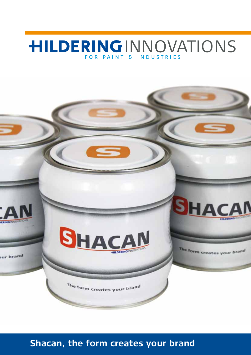# **HILDERINGINNOVATIONS** FOR PAINT & INDUSTRIES



**Shacan, the form creates your brand**